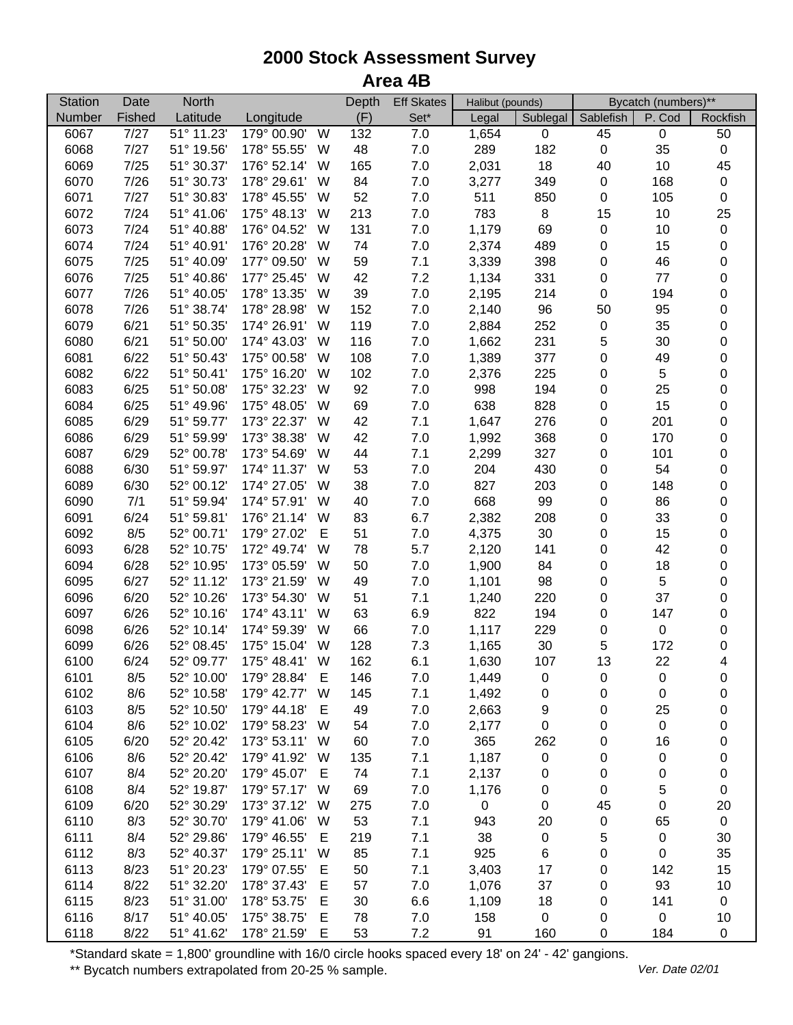## **2000 Stock Assessment Survey Area 4B**

| <b>Station</b> | Date   | <b>North</b>             |             |   | Depth | <b>Eff Skates</b> | Halibut (pounds) |             | Bycatch (numbers)** |             |             |
|----------------|--------|--------------------------|-------------|---|-------|-------------------|------------------|-------------|---------------------|-------------|-------------|
| Number         | Fished | Latitude                 | Longitude   |   | (F)   | Set*              | Legal            | Sublegal    | Sablefish           | P. Cod      | Rockfish    |
| 6067           | 7/27   | $\overline{51}$ ° 11.23' | 179° 00.90' | W | 132   | 7.0               | 1,654            | $\pmb{0}$   | 45                  | $\mathsf 0$ | 50          |
| 6068           | 7/27   | 51° 19.56'               | 178° 55.55' | W | 48    | $7.0\,$           | 289              | 182         | $\mathbf 0$         | 35          | $\pmb{0}$   |
| 6069           | 7/25   | 51° 30.37'               | 176° 52.14' | W | 165   | $7.0\,$           | 2,031            | 18          | 40                  | 10          | 45          |
| 6070           | 7/26   | 51° 30.73'               | 178° 29.61' | W | 84    | $7.0$             | 3,277            | 349         | 0                   | 168         | $\pmb{0}$   |
| 6071           | 7/27   | 51° 30.83'               | 178° 45.55' | W | 52    | $7.0\,$           | 511              | 850         | $\pmb{0}$           | 105         | $\pmb{0}$   |
| 6072           | 7/24   | 51° 41.06'               | 175° 48.13' | W | 213   | $7.0$             | 783              | 8           | 15                  | 10          | 25          |
| 6073           | 7/24   | 51° 40.88'               | 176° 04.52' | W | 131   | $7.0\,$           | 1,179            | 69          | 0                   | 10          | $\mathbf 0$ |
| 6074           | 7/24   | 51° 40.91'               | 176° 20.28' | W | 74    | $7.0$             | 2,374            | 489         | $\pmb{0}$           | 15          | $\pmb{0}$   |
| 6075           | 7/25   | 51° 40.09'               | 177° 09.50' | W | 59    | 7.1               | 3,339            | 398         | 0                   | 46          | $\mathbf 0$ |
| 6076           | 7/25   | 51° 40.86'               | 177° 25.45' | W | 42    | $7.2\,$           | 1,134            | 331         | 0                   | $77 \,$     | $\mathbf 0$ |
| 6077           | 7/26   | 51° 40.05'               | 178° 13.35' | W | 39    | $7.0\,$           | 2,195            | 214         | 0                   | 194         | $\mathbf 0$ |
| 6078           | 7/26   | 51° 38.74'               | 178° 28.98' | W | 152   | $7.0\,$           | 2,140            | 96          | 50                  | 95          | $\mathbf 0$ |
| 6079           | 6/21   | 51° 50.35'               | 174° 26.91' | W | 119   | $7.0\,$           | 2,884            | 252         | 0                   | 35          | $\mathbf 0$ |
| 6080           | 6/21   | 51° 50.00'               | 174° 43.03' | W | 116   | $7.0\,$           | 1,662            | 231         | $\mathbf 5$         | 30          | 0           |
| 6081           | 6/22   | 51° 50.43'               | 175° 00.58' | W | 108   | $7.0\,$           | 1,389            | 377         | $\pmb{0}$           | 49          | 0           |
| 6082           | 6/22   | 51° 50.41'               | 175° 16.20' | W | 102   | $7.0\,$           | 2,376            | 225         | 0                   | 5           | 0           |
| 6083           | 6/25   | 51° 50.08'               | 175° 32.23' | W | 92    | $7.0\,$           | 998              | 194         | $\pmb{0}$           | 25          | $\mathbf 0$ |
| 6084           | 6/25   | 51° 49.96'               | 175° 48.05' | W | 69    | $7.0\,$           | 638              | 828         | 0                   | 15          | $\pmb{0}$   |
| 6085           | 6/29   | 51° 59.77'               | 173° 22.37' | W | 42    | 7.1               | 1,647            | 276         | $\pmb{0}$           | 201         | 0           |
| 6086           | 6/29   | 51° 59.99'               | 173° 38.38' | W | 42    | $7.0\,$           | 1,992            | 368         | 0                   | 170         | 0           |
| 6087           | 6/29   | 52° 00.78'               | 173° 54.69' | W | 44    | 7.1               | 2,299            | 327         | 0                   | 101         | 0           |
| 6088           | 6/30   | 51° 59.97'               | 174° 11.37' | W | 53    | $7.0\,$           | 204              | 430         | 0                   | 54          | $\pmb{0}$   |
| 6089           | 6/30   | 52° 00.12'               | 174° 27.05' | W | 38    | $7.0$             | 827              | 203         | $\pmb{0}$           | 148         | $\pmb{0}$   |
| 6090           | 7/1    | 51° 59.94'               | 174° 57.91' | W | 40    | $7.0\,$           | 668              | 99          | $\pmb{0}$           | 86          | 0           |
| 6091           | 6/24   | 51° 59.81'               | 176° 21.14' | W | 83    | 6.7               | 2,382            | 208         | $\pmb{0}$           | 33          | $\mathbf 0$ |
| 6092           | 8/5    | 52° 00.71'               | 179° 27.02' | Е | 51    | $7.0\,$           | 4,375            | 30          | 0                   | 15          | $\mathbf 0$ |
| 6093           | 6/28   | 52° 10.75'               | 172° 49.74' | W | 78    | 5.7               | 2,120            | 141         | 0                   | 42          | $\mathbf 0$ |
| 6094           | 6/28   | 52° 10.95'               | 173° 05.59' | W | 50    | $7.0\,$           | 1,900            | 84          | $\pmb{0}$           | 18          | $\mathbf 0$ |
| 6095           | 6/27   | 52° 11.12'               | 173° 21.59' | W | 49    | 7.0               | 1,101            | 98          | 0                   | 5           | $\mathbf 0$ |
| 6096           | 6/20   | 52° 10.26'               | 173° 54.30' | W | 51    | 7.1               | 1,240            | 220         | 0                   | 37          | 0           |
| 6097           | 6/26   | 52° 10.16'               | 174° 43.11' | W | 63    | 6.9               | 822              | 194         | 0                   | 147         | $\pmb{0}$   |
| 6098           | 6/26   | 52° 10.14'               | 174° 59.39' | W | 66    | 7.0               | 1,117            | 229         | 0                   | $\mathbf 0$ | 0           |
| 6099           | 6/26   | 52° 08.45'               | 175° 15.04' | W | 128   | 7.3               | 1,165            | 30          | 5                   | 172         | $\pmb{0}$   |
| 6100           | 6/24   | 52° 09.77'               | 175° 48.41' | W | 162   | 6.1               | 1,630            | 107         | 13                  | 22          | 4           |
| 6101           | 8/5    | 52° 10.00'               | 179° 28.84' | Е | 146   | 7.0               | 1,449            | 0           | 0                   | 0           | 0           |
| 6102           | 8/6    | 52° 10.58'               | 179° 42.77' | W | 145   | 7.1               | 1,492            | 0           | 0                   | 0           | 0           |
| 6103           | 8/5    | 52° 10.50'               | 179° 44.18' | Е | 49    | $7.0$             | 2,663            | 9           | 0                   | 25          | 0           |
| 6104           | 8/6    | 52° 10.02'               | 179° 58.23' | W | 54    | 7.0               | 2,177            | $\pmb{0}$   | 0                   | $\mathbf 0$ | 0           |
| 6105           | 6/20   | 52° 20.42'               | 173° 53.11' | W | 60    | $7.0\,$           | 365              | 262         | 0                   | 16          | 0           |
| 6106           | 8/6    | 52° 20.42'               | 179° 41.92' | W | 135   | 7.1               | 1,187            | $\pmb{0}$   | 0                   | 0           | 0           |
| 6107           | 8/4    | 52° 20.20'               | 179° 45.07' | E | 74    | 7.1               | 2,137            | 0           | 0                   | 0           | $\pmb{0}$   |
| 6108           | 8/4    | 52° 19.87'               | 179° 57.17' | W | 69    | 7.0               | 1,176            | 0           | 0                   | 5           | $\pmb{0}$   |
| 6109           | 6/20   | 52° 30.29'               | 173° 37.12' | W | 275   | $7.0$             | $\mathbf 0$      | 0           | 45                  | 0           | 20          |
| 6110           | 8/3    | 52° 30.70'               | 179° 41.06' | W | 53    | 7.1               | 943              | 20          | 0                   | 65          | $\pmb{0}$   |
| 6111           | 8/4    | 52° 29.86'               | 179° 46.55' | Е | 219   | 7.1               | 38               | 0           | 5                   | $\mathbf 0$ | 30          |
| 6112           | 8/3    | 52° 40.37'               | 179° 25.11' | W | 85    | 7.1               | 925              | 6           | 0                   | $\mathbf 0$ | 35          |
| 6113           | 8/23   | 51° 20.23'               | 179° 07.55' | Е | 50    | 7.1               | 3,403            | 17          | 0                   | 142         | 15          |
| 6114           | 8/22   | 51° 32.20'               | 178° 37.43' | Е | 57    | 7.0               | 1,076            | 37          | 0                   | 93          | 10          |
| 6115           | 8/23   | 51° 31.00'               | 178° 53.75' | Е | 30    | 6.6               | 1,109            | 18          | 0                   | 141         | $\pmb{0}$   |
| 6116           | 8/17   | 51° 40.05'               | 175° 38.75' | Е | 78    | 7.0               | 158              | $\mathbf 0$ | 0                   | $\mathbf 0$ | 10          |
| 6118           | 8/22   | 51° 41.62'               | 178° 21.59' | Е | 53    | 7.2               | 91               | 160         | 0                   | 184         | 0           |

\*Standard skate = 1,800' groundline with 16/0 circle hooks spaced every 18' on 24' - 42' gangions.

\*\* Bycatch numbers extrapolated from 20-25 % sample. We are also asset that we are very left of the Mate 02/01